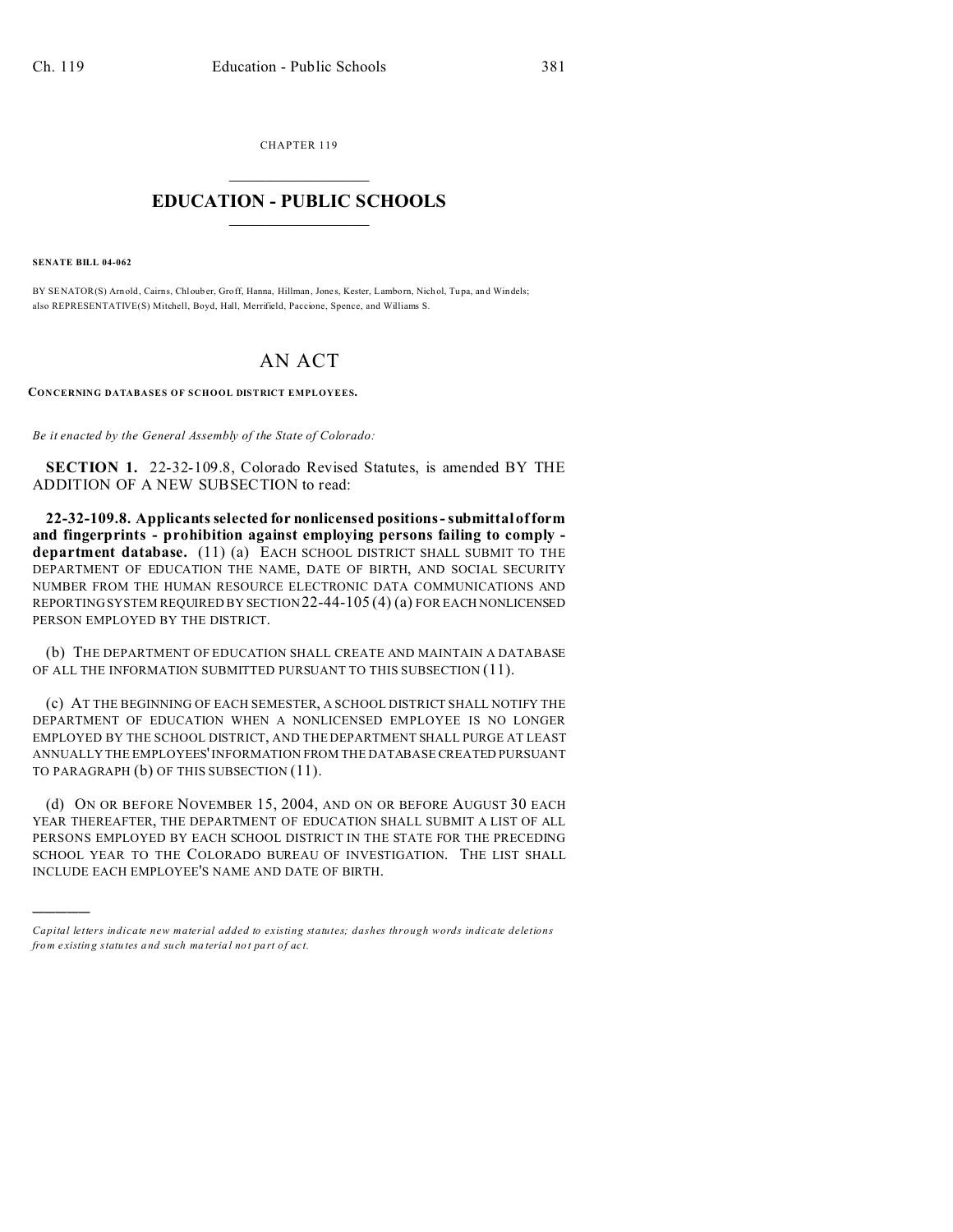CHAPTER 119  $\overline{\phantom{a}}$  , where  $\overline{\phantom{a}}$ 

## **EDUCATION - PUBLIC SCHOOLS**  $\_$   $\_$   $\_$   $\_$   $\_$   $\_$   $\_$   $\_$   $\_$

**SENATE BILL 04-062**

)))))

BY SENATOR(S) Arnold, Cairns, Chlouber, Groff, Hanna, Hillman, Jones, Kester, Lamborn, Nichol, Tupa, and Windels; also REPRESENTATIVE(S) Mitchell, Boyd, Hall, Merrifield, Paccione, Spence, and Williams S.

## AN ACT

**CONCERNING DATABASES OF SCHOOL DISTRICT EMPLOYEES.**

*Be it enacted by the General Assembly of the State of Colorado:*

**SECTION 1.** 22-32-109.8, Colorado Revised Statutes, is amended BY THE ADDITION OF A NEW SUBSECTION to read:

**22-32-109.8. Applicants selected for nonlicensed positions - submittal of form and fingerprints - prohibition against employing persons failing to comply department database.** (11) (a) EACH SCHOOL DISTRICT SHALL SUBMIT TO THE DEPARTMENT OF EDUCATION THE NAME, DATE OF BIRTH, AND SOCIAL SECURITY NUMBER FROM THE HUMAN RESOURCE ELECTRONIC DATA COMMUNICATIONS AND REPORTING SYSTEM REQUIRED BY SECTION 22-44-105 (4) (a) FOR EACH NONLICENSED PERSON EMPLOYED BY THE DISTRICT.

(b) THE DEPARTMENT OF EDUCATION SHALL CREATE AND MAINTAIN A DATABASE OF ALL THE INFORMATION SUBMITTED PURSUANT TO THIS SUBSECTION (11).

(c) AT THE BEGINNING OF EACH SEMESTER, A SCHOOL DISTRICT SHALL NOTIFY THE DEPARTMENT OF EDUCATION WHEN A NONLICENSED EMPLOYEE IS NO LONGER EMPLOYED BY THE SCHOOL DISTRICT, AND THE DEPARTMENT SHALL PURGE AT LEAST ANNUALLY THE EMPLOYEES' INFORMATION FROM THE DATABASE CREATED PURSUANT TO PARAGRAPH (b) OF THIS SUBSECTION (11).

(d) ON OR BEFORE NOVEMBER 15, 2004, AND ON OR BEFORE AUGUST 30 EACH YEAR THEREAFTER, THE DEPARTMENT OF EDUCATION SHALL SUBMIT A LIST OF ALL PERSONS EMPLOYED BY EACH SCHOOL DISTRICT IN THE STATE FOR THE PRECEDING SCHOOL YEAR TO THE COLORADO BUREAU OF INVESTIGATION. THE LIST SHALL INCLUDE EACH EMPLOYEE'S NAME AND DATE OF BIRTH.

*Capital letters indicate new material added to existing statutes; dashes through words indicate deletions from e xistin g statu tes a nd such ma teria l no t pa rt of ac t.*